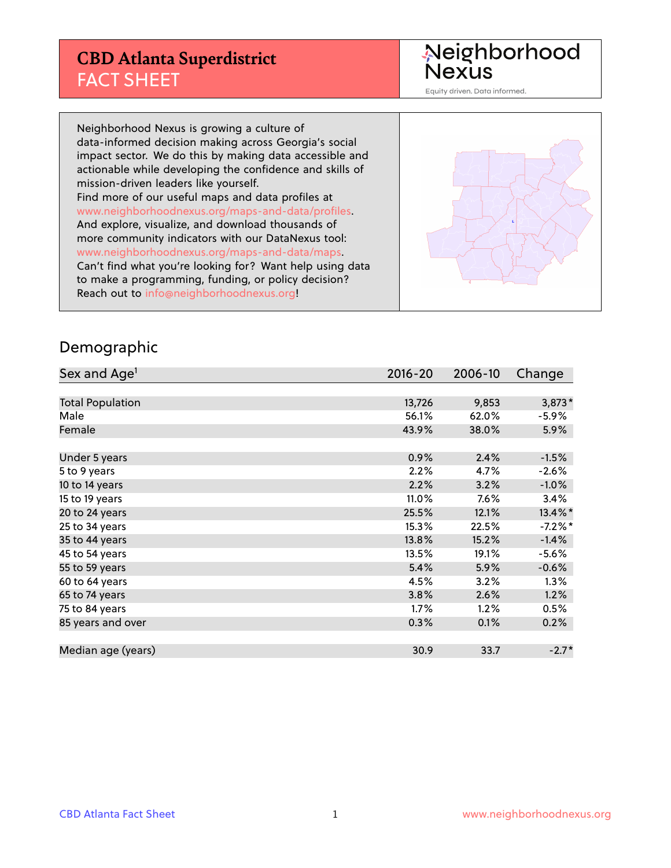## **CBD Atlanta Superdistrict** FACT SHEET

Neighborhood<br>Nexus

Equity driven. Data informed.

Neighborhood Nexus is growing a culture of data-informed decision making across Georgia's social impact sector. We do this by making data accessible and actionable while developing the confidence and skills of mission-driven leaders like yourself. Find more of our useful maps and data profiles at www.neighborhoodnexus.org/maps-and-data/profiles. And explore, visualize, and download thousands of more community indicators with our DataNexus tool: www.neighborhoodnexus.org/maps-and-data/maps. Can't find what you're looking for? Want help using data to make a programming, funding, or policy decision? Reach out to [info@neighborhoodnexus.org!](mailto:info@neighborhoodnexus.org)



#### Demographic

| Sex and Age <sup>1</sup> | $2016 - 20$ | 2006-10 | Change    |
|--------------------------|-------------|---------|-----------|
|                          |             |         |           |
| <b>Total Population</b>  | 13,726      | 9,853   | $3,873*$  |
| Male                     | 56.1%       | 62.0%   | $-5.9\%$  |
| Female                   | 43.9%       | 38.0%   | $5.9\%$   |
|                          |             |         |           |
| Under 5 years            | 0.9%        | 2.4%    | $-1.5%$   |
| 5 to 9 years             | 2.2%        | 4.7%    | $-2.6%$   |
| 10 to 14 years           | 2.2%        | 3.2%    | $-1.0\%$  |
| 15 to 19 years           | 11.0%       | 7.6%    | 3.4%      |
| 20 to 24 years           | 25.5%       | 12.1%   | 13.4%*    |
| 25 to 34 years           | 15.3%       | 22.5%   | $-7.2%$ * |
| 35 to 44 years           | 13.8%       | 15.2%   | $-1.4%$   |
| 45 to 54 years           | 13.5%       | 19.1%   | $-5.6%$   |
| 55 to 59 years           | 5.4%        | 5.9%    | $-0.6%$   |
| 60 to 64 years           | 4.5%        | 3.2%    | 1.3%      |
| 65 to 74 years           | 3.8%        | 2.6%    | 1.2%      |
| 75 to 84 years           | $1.7\%$     | 1.2%    | 0.5%      |
| 85 years and over        | 0.3%        | 0.1%    | 0.2%      |
|                          |             |         |           |
| Median age (years)       | 30.9        | 33.7    | $-2.7*$   |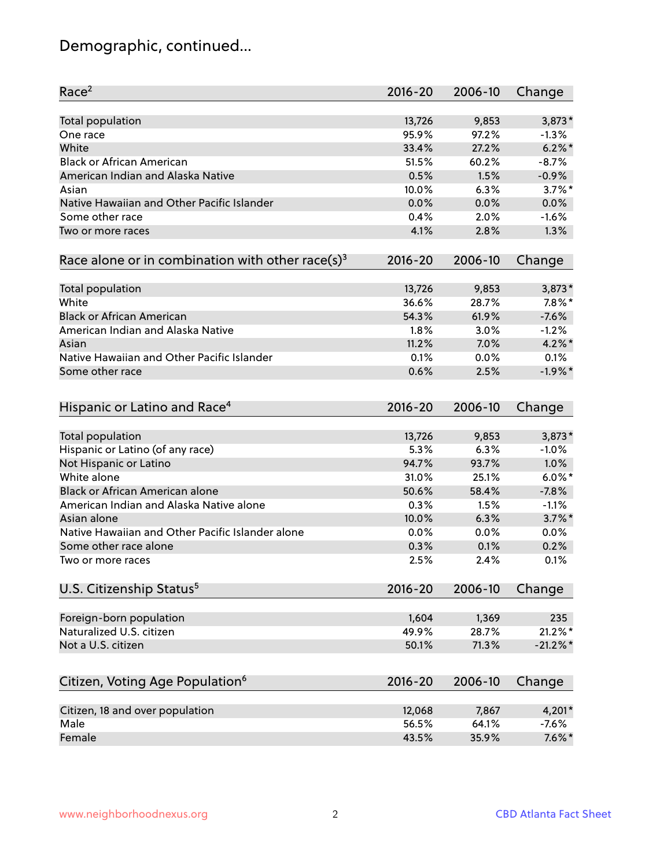# Demographic, continued...

| Race <sup>2</sup>                                            | $2016 - 20$ | 2006-10 | Change      |
|--------------------------------------------------------------|-------------|---------|-------------|
| <b>Total population</b>                                      | 13,726      | 9,853   | 3,873*      |
| One race                                                     | 95.9%       | 97.2%   | $-1.3%$     |
| White                                                        | 33.4%       | 27.2%   | $6.2\%$ *   |
| <b>Black or African American</b>                             | 51.5%       | 60.2%   | $-8.7%$     |
| American Indian and Alaska Native                            | 0.5%        | 1.5%    | $-0.9%$     |
| Asian                                                        | 10.0%       | 6.3%    | $3.7\%$ *   |
| Native Hawaiian and Other Pacific Islander                   | 0.0%        | 0.0%    | 0.0%        |
| Some other race                                              | 0.4%        | 2.0%    | $-1.6%$     |
| Two or more races                                            | 4.1%        | 2.8%    | 1.3%        |
| Race alone or in combination with other race(s) <sup>3</sup> | $2016 - 20$ | 2006-10 | Change      |
| Total population                                             | 13,726      | 9,853   | $3,873*$    |
| White                                                        | 36.6%       | 28.7%   | $7.8\%$ *   |
| <b>Black or African American</b>                             | 54.3%       | 61.9%   | $-7.6%$     |
| American Indian and Alaska Native                            | 1.8%        | 3.0%    | $-1.2%$     |
| Asian                                                        | 11.2%       | 7.0%    | $4.2\%$ *   |
| Native Hawaiian and Other Pacific Islander                   | 0.1%        | 0.0%    | 0.1%        |
| Some other race                                              | 0.6%        | 2.5%    | $-1.9%$ *   |
| Hispanic or Latino and Race <sup>4</sup>                     | $2016 - 20$ | 2006-10 | Change      |
| Total population                                             | 13,726      | 9,853   | $3,873*$    |
| Hispanic or Latino (of any race)                             | 5.3%        | 6.3%    | $-1.0%$     |
| Not Hispanic or Latino                                       | 94.7%       | 93.7%   | 1.0%        |
| White alone                                                  | 31.0%       | 25.1%   | $6.0\%$ *   |
| <b>Black or African American alone</b>                       | 50.6%       | 58.4%   | $-7.8%$     |
| American Indian and Alaska Native alone                      | 0.3%        | 1.5%    | $-1.1%$     |
| Asian alone                                                  | 10.0%       | 6.3%    | $3.7\%$ *   |
| Native Hawaiian and Other Pacific Islander alone             | 0.0%        | 0.0%    | 0.0%        |
| Some other race alone                                        | 0.3%        | 0.1%    | 0.2%        |
| Two or more races                                            | 2.5%        | 2.4%    | 0.1%        |
| U.S. Citizenship Status <sup>5</sup>                         | 2016-20     | 2006-10 | Change      |
| Foreign-born population                                      | 1,604       | 1,369   | 235         |
| Naturalized U.S. citizen                                     | 49.9%       | 28.7%   | $21.2\%$ *  |
| Not a U.S. citizen                                           | 50.1%       | 71.3%   | $-21.2\%$ * |
|                                                              |             |         |             |
| Citizen, Voting Age Population <sup>6</sup>                  | $2016 - 20$ | 2006-10 | Change      |
| Citizen, 18 and over population                              | 12,068      | 7,867   | 4,201*      |
| Male                                                         | 56.5%       | 64.1%   | $-7.6%$     |
| Female                                                       | 43.5%       | 35.9%   | $7.6\%$ *   |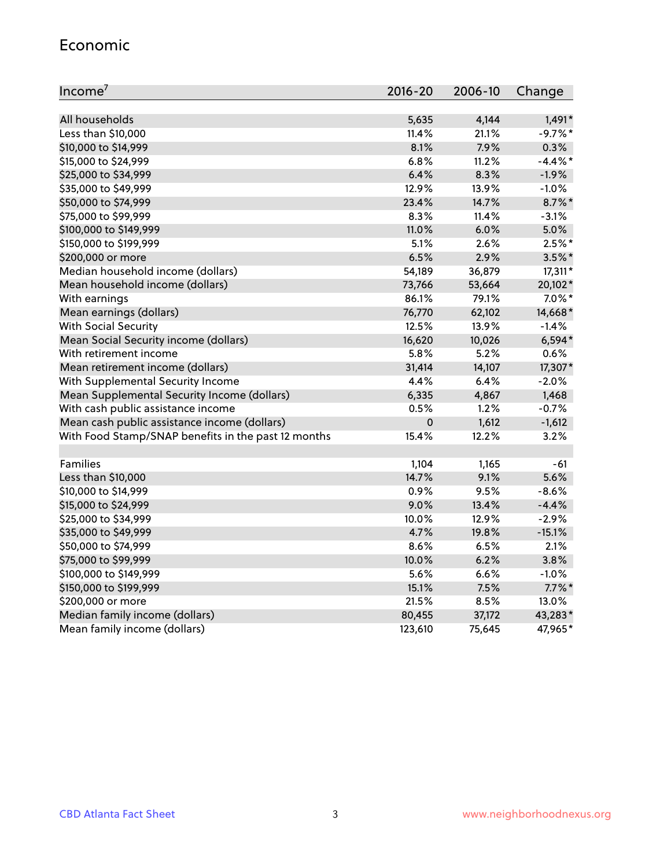#### Economic

| Income <sup>7</sup>                                 | $2016 - 20$ | 2006-10 | Change     |
|-----------------------------------------------------|-------------|---------|------------|
|                                                     |             |         |            |
| All households                                      | 5,635       | 4,144   | $1,491*$   |
| Less than \$10,000                                  | 11.4%       | 21.1%   | $-9.7%$ *  |
| \$10,000 to \$14,999                                | 8.1%        | 7.9%    | 0.3%       |
| \$15,000 to \$24,999                                | 6.8%        | 11.2%   | $-4.4\%$ * |
| \$25,000 to \$34,999                                | 6.4%        | 8.3%    | $-1.9%$    |
| \$35,000 to \$49,999                                | 12.9%       | 13.9%   | $-1.0%$    |
| \$50,000 to \$74,999                                | 23.4%       | 14.7%   | $8.7\%$ *  |
| \$75,000 to \$99,999                                | 8.3%        | 11.4%   | $-3.1%$    |
| \$100,000 to \$149,999                              | 11.0%       | 6.0%    | 5.0%       |
| \$150,000 to \$199,999                              | 5.1%        | 2.6%    | $2.5%$ *   |
| \$200,000 or more                                   | 6.5%        | 2.9%    | $3.5\%$ *  |
| Median household income (dollars)                   | 54,189      | 36,879  | $17,311*$  |
| Mean household income (dollars)                     | 73,766      | 53,664  | 20,102*    |
| With earnings                                       | 86.1%       | 79.1%   | $7.0\%$ *  |
| Mean earnings (dollars)                             | 76,770      | 62,102  | 14,668*    |
| <b>With Social Security</b>                         | 12.5%       | 13.9%   | $-1.4%$    |
| Mean Social Security income (dollars)               | 16,620      | 10,026  | $6,594*$   |
| With retirement income                              | 5.8%        | 5.2%    | 0.6%       |
| Mean retirement income (dollars)                    | 31,414      | 14,107  | 17,307*    |
| With Supplemental Security Income                   | 4.4%        | 6.4%    | $-2.0%$    |
| Mean Supplemental Security Income (dollars)         | 6,335       | 4,867   | 1,468      |
| With cash public assistance income                  | 0.5%        | 1.2%    | $-0.7%$    |
| Mean cash public assistance income (dollars)        | $\pmb{0}$   | 1,612   | $-1,612$   |
| With Food Stamp/SNAP benefits in the past 12 months | 15.4%       | 12.2%   | 3.2%       |
|                                                     |             |         |            |
| Families                                            | 1,104       | 1,165   | $-61$      |
| Less than \$10,000                                  | 14.7%       | 9.1%    | 5.6%       |
| \$10,000 to \$14,999                                | 0.9%        | 9.5%    | $-8.6%$    |
| \$15,000 to \$24,999                                | 9.0%        | 13.4%   | $-4.4%$    |
| \$25,000 to \$34,999                                | 10.0%       | 12.9%   | $-2.9%$    |
| \$35,000 to \$49,999                                | 4.7%        | 19.8%   | $-15.1%$   |
| \$50,000 to \$74,999                                | 8.6%        | 6.5%    | 2.1%       |
| \$75,000 to \$99,999                                | 10.0%       | 6.2%    | 3.8%       |
| \$100,000 to \$149,999                              | 5.6%        | 6.6%    | $-1.0%$    |
| \$150,000 to \$199,999                              | 15.1%       | 7.5%    | $7.7\%$ *  |
| \$200,000 or more                                   | 21.5%       | 8.5%    | 13.0%      |
| Median family income (dollars)                      | 80,455      | 37,172  | 43,283*    |
| Mean family income (dollars)                        | 123,610     | 75,645  | 47,965*    |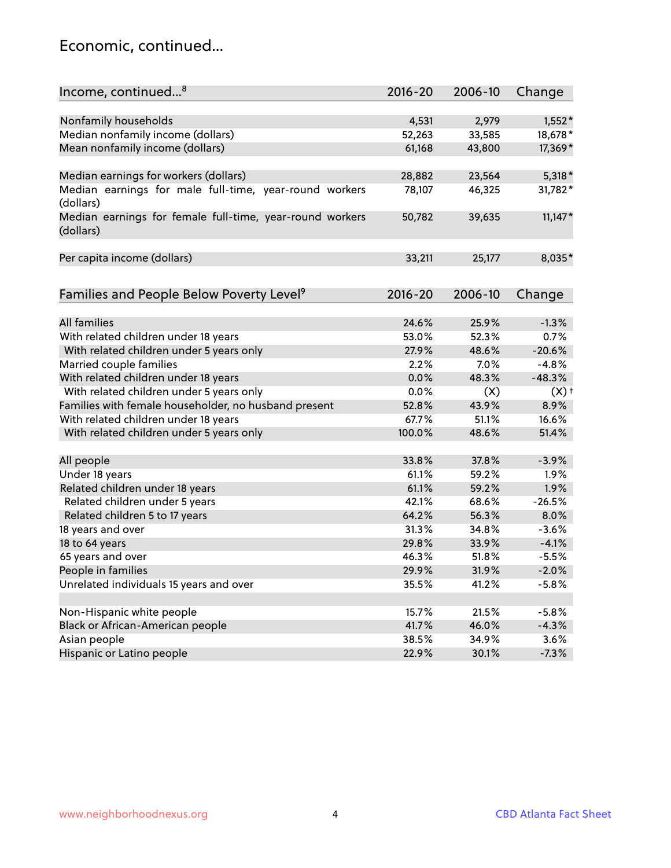#### Economic, continued...

| Income, continued <sup>8</sup>                                        | $2016 - 20$ | 2006-10 | Change    |
|-----------------------------------------------------------------------|-------------|---------|-----------|
|                                                                       |             |         |           |
| Nonfamily households                                                  | 4,531       | 2,979   | $1,552*$  |
| Median nonfamily income (dollars)                                     | 52,263      | 33,585  | 18,678*   |
| Mean nonfamily income (dollars)                                       | 61,168      | 43,800  | 17,369*   |
| Median earnings for workers (dollars)                                 | 28,882      | 23,564  | $5,318*$  |
| Median earnings for male full-time, year-round workers                | 78,107      | 46,325  | 31,782*   |
| (dollars)                                                             |             |         |           |
| Median earnings for female full-time, year-round workers<br>(dollars) | 50,782      | 39,635  | $11,147*$ |
| Per capita income (dollars)                                           | 33,211      | 25,177  | 8,035*    |
|                                                                       |             |         |           |
| Families and People Below Poverty Level <sup>9</sup>                  | $2016 - 20$ | 2006-10 | Change    |
|                                                                       |             |         |           |
| <b>All families</b>                                                   | 24.6%       | 25.9%   | $-1.3%$   |
| With related children under 18 years                                  | 53.0%       | 52.3%   | 0.7%      |
| With related children under 5 years only                              | 27.9%       | 48.6%   | $-20.6%$  |
| Married couple families                                               | 2.2%        | 7.0%    | $-4.8%$   |
| With related children under 18 years                                  | 0.0%        | 48.3%   | $-48.3%$  |
| With related children under 5 years only                              | 0.0%        | (X)     | (X)       |
| Families with female householder, no husband present                  | 52.8%       | 43.9%   | 8.9%      |
| With related children under 18 years                                  | 67.7%       | 51.1%   | 16.6%     |
| With related children under 5 years only                              | 100.0%      | 48.6%   | 51.4%     |
| All people                                                            | 33.8%       | 37.8%   | $-3.9%$   |
| Under 18 years                                                        | 61.1%       | 59.2%   | 1.9%      |
| Related children under 18 years                                       | 61.1%       | 59.2%   | 1.9%      |
| Related children under 5 years                                        | 42.1%       | 68.6%   | $-26.5%$  |
| Related children 5 to 17 years                                        | 64.2%       | 56.3%   | 8.0%      |
| 18 years and over                                                     | 31.3%       | 34.8%   | $-3.6%$   |
| 18 to 64 years                                                        | 29.8%       | 33.9%   | $-4.1%$   |
| 65 years and over                                                     | 46.3%       | 51.8%   | $-5.5%$   |
| People in families                                                    | 29.9%       | 31.9%   | $-2.0%$   |
| Unrelated individuals 15 years and over                               | 35.5%       | 41.2%   | $-5.8%$   |
|                                                                       |             |         |           |
| Non-Hispanic white people                                             | 15.7%       | 21.5%   | $-5.8%$   |
| Black or African-American people                                      | 41.7%       | 46.0%   | $-4.3%$   |
| Asian people                                                          | 38.5%       | 34.9%   | 3.6%      |
| Hispanic or Latino people                                             | 22.9%       | 30.1%   | $-7.3%$   |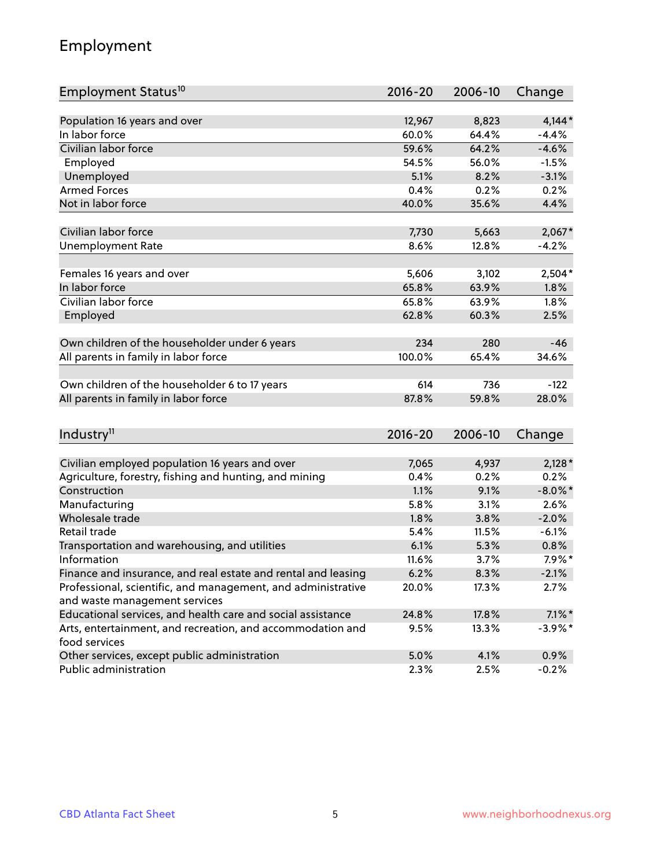## Employment

| Employment Status <sup>10</sup>                                             | 2016-20     | 2006-10 | Change     |
|-----------------------------------------------------------------------------|-------------|---------|------------|
|                                                                             |             |         |            |
| Population 16 years and over                                                | 12,967      | 8,823   | $4,144*$   |
| In labor force                                                              | 60.0%       | 64.4%   | $-4.4%$    |
| Civilian labor force                                                        | 59.6%       | 64.2%   | $-4.6%$    |
| Employed                                                                    | 54.5%       | 56.0%   | $-1.5%$    |
| Unemployed                                                                  | 5.1%        | 8.2%    | $-3.1%$    |
| <b>Armed Forces</b>                                                         | 0.4%        | 0.2%    | 0.2%       |
| Not in labor force                                                          | 40.0%       | 35.6%   | 4.4%       |
| Civilian labor force                                                        | 7,730       | 5,663   | $2,067*$   |
| <b>Unemployment Rate</b>                                                    | 8.6%        | 12.8%   | $-4.2%$    |
|                                                                             |             |         |            |
| Females 16 years and over                                                   | 5,606       | 3,102   | $2,504*$   |
| In labor force                                                              | 65.8%       | 63.9%   | 1.8%       |
| Civilian labor force                                                        | 65.8%       | 63.9%   | 1.8%       |
| Employed                                                                    | 62.8%       | 60.3%   | 2.5%       |
|                                                                             |             |         |            |
| Own children of the householder under 6 years                               | 234         | 280     | $-46$      |
| All parents in family in labor force                                        | 100.0%      | 65.4%   | 34.6%      |
| Own children of the householder 6 to 17 years                               | 614         | 736     | $-122$     |
| All parents in family in labor force                                        | 87.8%       | 59.8%   | 28.0%      |
|                                                                             |             |         |            |
| Industry <sup>11</sup>                                                      | $2016 - 20$ | 2006-10 | Change     |
|                                                                             |             |         |            |
| Civilian employed population 16 years and over                              | 7,065       | 4,937   | $2,128*$   |
| Agriculture, forestry, fishing and hunting, and mining                      | 0.4%        | 0.2%    | 0.2%       |
| Construction                                                                | 1.1%        | 9.1%    | $-8.0\%$ * |
| Manufacturing                                                               | 5.8%        | 3.1%    | 2.6%       |
| Wholesale trade                                                             | 1.8%        | 3.8%    | $-2.0%$    |
| Retail trade                                                                | 5.4%        | 11.5%   | $-6.1%$    |
| Transportation and warehousing, and utilities                               | 6.1%        | 5.3%    | 0.8%       |
| Information                                                                 | 11.6%       | 3.7%    | $7.9\%$ *  |
| Finance and insurance, and real estate and rental and leasing               | 6.2%        | 8.3%    | $-2.1%$    |
| Professional, scientific, and management, and administrative                | 20.0%       | 17.3%   | 2.7%       |
| and waste management services                                               |             |         |            |
| Educational services, and health care and social assistance                 | 24.8%       | 17.8%   | $7.1\%$ *  |
| Arts, entertainment, and recreation, and accommodation and<br>food services | 9.5%        | 13.3%   | $-3.9\%$ * |
| Other services, except public administration                                | 5.0%        | 4.1%    | 0.9%       |
| Public administration                                                       | 2.3%        | 2.5%    | $-0.2%$    |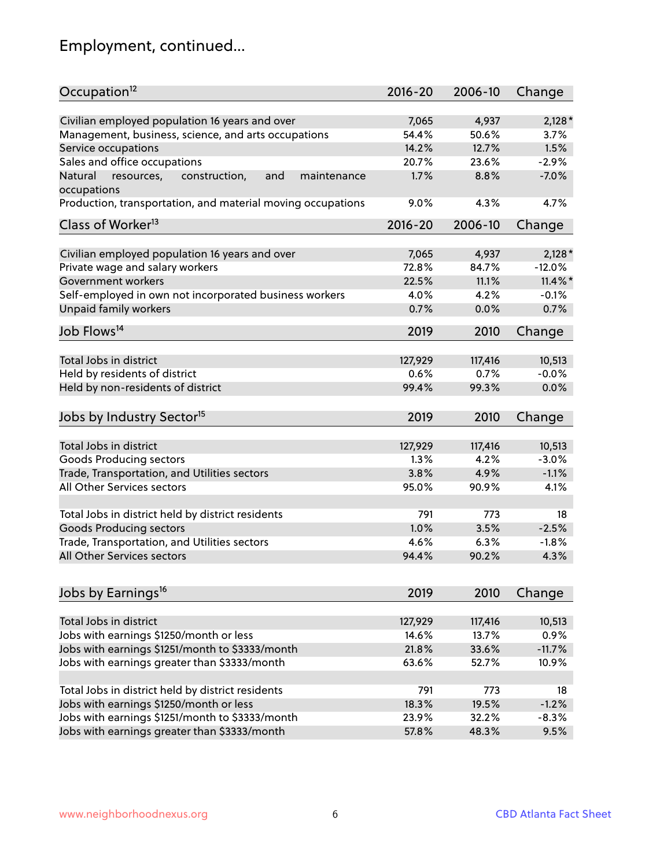# Employment, continued...

| Occupation <sup>12</sup>                                     | $2016 - 20$ | 2006-10 | Change     |
|--------------------------------------------------------------|-------------|---------|------------|
| Civilian employed population 16 years and over               | 7,065       | 4,937   | $2,128*$   |
| Management, business, science, and arts occupations          | 54.4%       | 50.6%   | 3.7%       |
| Service occupations                                          | 14.2%       | 12.7%   | 1.5%       |
| Sales and office occupations                                 | 20.7%       | 23.6%   | $-2.9%$    |
| Natural<br>and<br>resources,<br>construction,<br>maintenance | 1.7%        | 8.8%    | $-7.0%$    |
| occupations                                                  |             |         |            |
| Production, transportation, and material moving occupations  | 9.0%        | 4.3%    | 4.7%       |
| Class of Worker <sup>13</sup>                                | $2016 - 20$ | 2006-10 | Change     |
|                                                              |             |         |            |
| Civilian employed population 16 years and over               | 7,065       | 4,937   | $2,128*$   |
| Private wage and salary workers                              | 72.8%       | 84.7%   | $-12.0%$   |
| Government workers                                           | 22.5%       | 11.1%   | $11.4\%$ * |
| Self-employed in own not incorporated business workers       | 4.0%        | 4.2%    | $-0.1%$    |
| Unpaid family workers                                        | 0.7%        | 0.0%    | 0.7%       |
| Job Flows <sup>14</sup>                                      | 2019        | 2010    | Change     |
|                                                              |             |         |            |
| Total Jobs in district                                       | 127,929     | 117,416 | 10,513     |
| Held by residents of district                                | 0.6%        | 0.7%    | $-0.0%$    |
| Held by non-residents of district                            | 99.4%       | 99.3%   | 0.0%       |
| Jobs by Industry Sector <sup>15</sup>                        | 2019        | 2010    | Change     |
|                                                              |             |         |            |
| Total Jobs in district                                       | 127,929     | 117,416 | 10,513     |
| Goods Producing sectors                                      | 1.3%        | 4.2%    | $-3.0%$    |
| Trade, Transportation, and Utilities sectors                 | 3.8%        | 4.9%    | $-1.1%$    |
| All Other Services sectors                                   | 95.0%       | 90.9%   | 4.1%       |
| Total Jobs in district held by district residents            | 791         | 773     | 18         |
| <b>Goods Producing sectors</b>                               | 1.0%        | 3.5%    | $-2.5%$    |
| Trade, Transportation, and Utilities sectors                 | 4.6%        | 6.3%    | $-1.8%$    |
| All Other Services sectors                                   | 94.4%       | 90.2%   | 4.3%       |
|                                                              |             |         |            |
| Jobs by Earnings <sup>16</sup>                               | 2019        | 2010    | Change     |
|                                                              |             |         |            |
| Total Jobs in district                                       | 127,929     | 117,416 | 10,513     |
| Jobs with earnings \$1250/month or less                      | 14.6%       | 13.7%   | 0.9%       |
| Jobs with earnings \$1251/month to \$3333/month              | 21.8%       | 33.6%   | $-11.7%$   |
| Jobs with earnings greater than \$3333/month                 | 63.6%       | 52.7%   | 10.9%      |
| Total Jobs in district held by district residents            | 791         | 773     | 18         |
| Jobs with earnings \$1250/month or less                      | 18.3%       | 19.5%   | $-1.2%$    |
| Jobs with earnings \$1251/month to \$3333/month              | 23.9%       | 32.2%   | $-8.3%$    |
| Jobs with earnings greater than \$3333/month                 | 57.8%       | 48.3%   | 9.5%       |
|                                                              |             |         |            |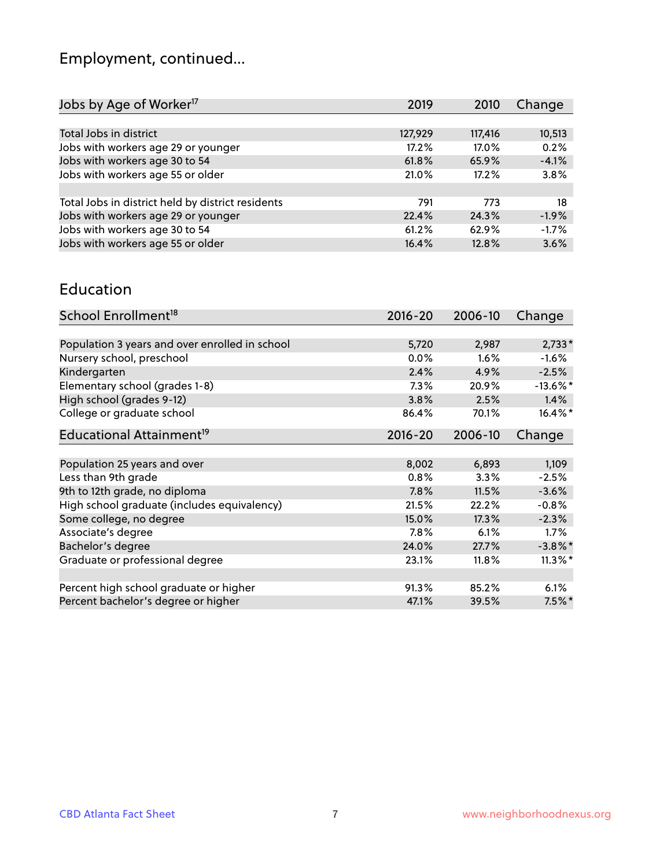# Employment, continued...

| 2019    | 2010    | Change  |
|---------|---------|---------|
|         |         |         |
| 127,929 | 117,416 | 10,513  |
| 17.2%   | 17.0%   | 0.2%    |
| 61.8%   | 65.9%   | $-4.1%$ |
| 21.0%   | 17.2%   | 3.8%    |
|         |         |         |
| 791     | 773     | 18      |
| 22.4%   | 24.3%   | $-1.9%$ |
| 61.2%   | 62.9%   | $-1.7%$ |
| 16.4%   | 12.8%   | 3.6%    |
|         |         |         |

#### Education

| School Enrollment <sup>18</sup>                | $2016 - 20$ | 2006-10  | Change      |
|------------------------------------------------|-------------|----------|-------------|
|                                                |             |          |             |
| Population 3 years and over enrolled in school | 5,720       | 2,987    | $2,733*$    |
| Nursery school, preschool                      | $0.0\%$     | 1.6%     | $-1.6%$     |
| Kindergarten                                   | 2.4%        | 4.9%     | $-2.5%$     |
| Elementary school (grades 1-8)                 | 7.3%        | 20.9%    | $-13.6\%$ * |
| High school (grades 9-12)                      | 3.8%        | 2.5%     | 1.4%        |
| College or graduate school                     | 86.4%       | 70.1%    | $16.4\%$ *  |
| Educational Attainment <sup>19</sup>           | $2016 - 20$ | 2006-10  | Change      |
|                                                |             |          |             |
| Population 25 years and over                   | 8,002       | 6,893    | 1,109       |
| Less than 9th grade                            | $0.8\%$     | 3.3%     | $-2.5%$     |
| 9th to 12th grade, no diploma                  | 7.8%        | 11.5%    | $-3.6%$     |
| High school graduate (includes equivalency)    | 21.5%       | 22.2%    | $-0.8%$     |
| Some college, no degree                        | 15.0%       | 17.3%    | $-2.3%$     |
| Associate's degree                             | 7.8%        | 6.1%     | 1.7%        |
| Bachelor's degree                              | 24.0%       | 27.7%    | $-3.8\%$ *  |
| Graduate or professional degree                | 23.1%       | $11.8\%$ | $11.3\%$ *  |
|                                                |             |          |             |
| Percent high school graduate or higher         | 91.3%       | 85.2%    | 6.1%        |
| Percent bachelor's degree or higher            | 47.1%       | 39.5%    | $7.5\%$ *   |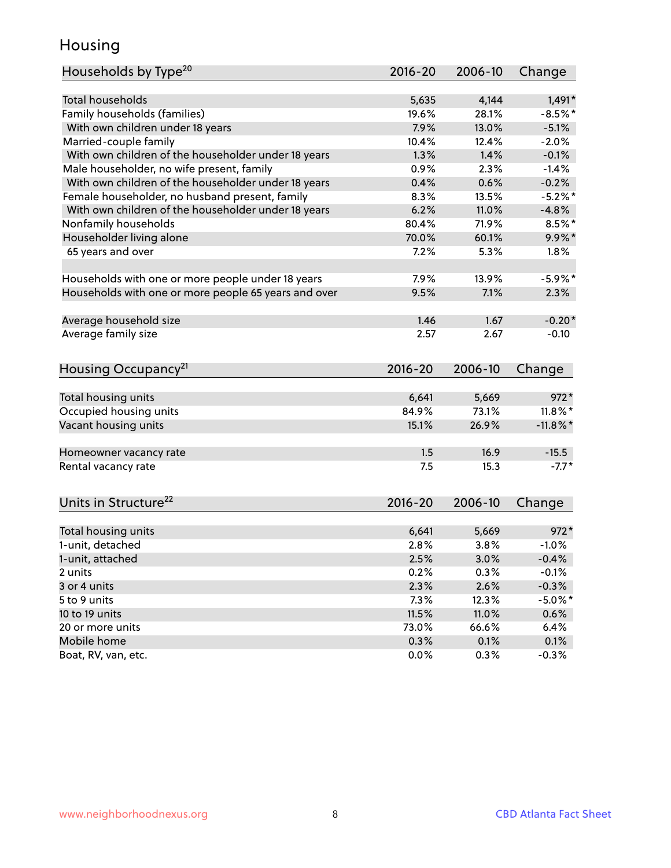## Housing

| Households by Type <sup>20</sup>                     | 2016-20      | 2006-10 | Change             |
|------------------------------------------------------|--------------|---------|--------------------|
|                                                      |              |         |                    |
| <b>Total households</b>                              | 5,635        | 4,144   | $1,491*$           |
| Family households (families)                         | 19.6%        | 28.1%   | $-8.5%$ *          |
| With own children under 18 years                     | 7.9%         | 13.0%   | $-5.1%$            |
| Married-couple family                                | 10.4%        | 12.4%   | $-2.0%$            |
| With own children of the householder under 18 years  | 1.3%         | 1.4%    | $-0.1%$            |
| Male householder, no wife present, family            | 0.9%         | 2.3%    | $-1.4%$            |
| With own children of the householder under 18 years  | 0.4%         | 0.6%    | $-0.2%$            |
| Female householder, no husband present, family       | 8.3%         | 13.5%   | $-5.2\%$ *         |
| With own children of the householder under 18 years  | 6.2%         | 11.0%   | $-4.8%$            |
| Nonfamily households                                 | 80.4%        | 71.9%   | $8.5\%$ *          |
| Householder living alone                             | 70.0%        | 60.1%   | $9.9\%$ *          |
| 65 years and over                                    | 7.2%         | 5.3%    | 1.8%               |
|                                                      |              |         |                    |
| Households with one or more people under 18 years    | 7.9%         | 13.9%   | $-5.9\%$ *         |
| Households with one or more people 65 years and over | 9.5%         | 7.1%    | 2.3%               |
| Average household size                               | 1.46         | 1.67    | $-0.20*$           |
| Average family size                                  | 2.57         | 2.67    | $-0.10$            |
|                                                      |              |         |                    |
| Housing Occupancy <sup>21</sup>                      | 2016-20      | 2006-10 | Change             |
|                                                      |              |         |                    |
| Total housing units                                  | 6,641        | 5,669   | $972*$             |
| Occupied housing units                               | 84.9%        | 73.1%   | $11.8\%$ *         |
| Vacant housing units                                 | 15.1%        | 26.9%   | $-11.8\%$ *        |
| Homeowner vacancy rate                               | 1.5          | 16.9    | $-15.5$            |
| Rental vacancy rate                                  | 7.5          | 15.3    | $-7.7*$            |
|                                                      |              |         |                    |
| Units in Structure <sup>22</sup>                     | 2016-20      | 2006-10 | Change             |
| Total housing units                                  | 6,641        | 5,669   | $972*$             |
| 1-unit, detached                                     | 2.8%         | 3.8%    | $-1.0%$            |
|                                                      |              |         |                    |
| 1-unit, attached                                     | 2.5%<br>0.2% | 3.0%    | $-0.4%$            |
| 2 units                                              |              | 0.3%    | $-0.1%$<br>$-0.3%$ |
| 3 or 4 units                                         | 2.3%         | 2.6%    |                    |
| 5 to 9 units                                         | 7.3%         | 12.3%   | $-5.0\%$ *         |
| 10 to 19 units                                       | 11.5%        | 11.0%   | 0.6%               |
| 20 or more units                                     | 73.0%        | 66.6%   | 6.4%               |
| Mobile home                                          | 0.3%         | 0.1%    | 0.1%               |
| Boat, RV, van, etc.                                  | 0.0%         | 0.3%    | $-0.3%$            |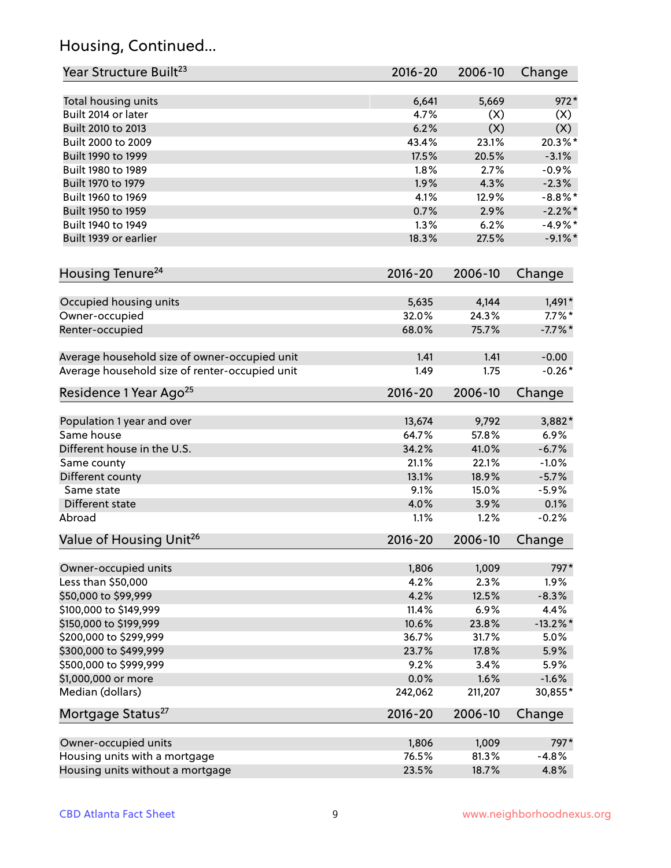## Housing, Continued...

| Year Structure Built <sup>23</sup>             | $2016 - 20$ | 2006-10        | Change      |
|------------------------------------------------|-------------|----------------|-------------|
| Total housing units                            | 6,641       | 5,669          | $972*$      |
| Built 2014 or later                            | 4.7%        | (X)            | (X)         |
| Built 2010 to 2013                             | 6.2%        | (X)            | (X)         |
| Built 2000 to 2009                             | 43.4%       | 23.1%          | 20.3%*      |
| Built 1990 to 1999                             | 17.5%       | 20.5%          | $-3.1%$     |
| Built 1980 to 1989                             | 1.8%        | 2.7%           | $-0.9%$     |
| Built 1970 to 1979                             | 1.9%        | 4.3%           | $-2.3%$     |
| Built 1960 to 1969                             | 4.1%        | 12.9%          | $-8.8\%$ *  |
| Built 1950 to 1959                             | 0.7%        | 2.9%           | $-2.2\%$ *  |
| Built 1940 to 1949                             | 1.3%        | 6.2%           | $-4.9%$ *   |
| Built 1939 or earlier                          | 18.3%       | 27.5%          | $-9.1\%$ *  |
|                                                |             |                |             |
| Housing Tenure <sup>24</sup>                   | $2016 - 20$ | 2006-10        | Change      |
| Occupied housing units                         | 5,635       | 4,144          | $1,491*$    |
| Owner-occupied                                 | 32.0%       | 24.3%          | $7.7\%$ *   |
| Renter-occupied                                | 68.0%       | 75.7%          | $-7.7%$ *   |
| Average household size of owner-occupied unit  | 1.41        | 1.41           | $-0.00$     |
| Average household size of renter-occupied unit | 1.49        | 1.75           | $-0.26*$    |
| Residence 1 Year Ago <sup>25</sup>             | $2016 - 20$ | 2006-10        | Change      |
| Population 1 year and over                     | 13,674      | 9,792          | 3,882*      |
| Same house                                     | 64.7%       | 57.8%          | 6.9%        |
| Different house in the U.S.                    | 34.2%       | 41.0%          | $-6.7%$     |
| Same county                                    | 21.1%       | 22.1%          | $-1.0%$     |
| Different county                               | 13.1%       | 18.9%          | $-5.7%$     |
| Same state                                     | 9.1%        | 15.0%          | $-5.9%$     |
| Different state                                | 4.0%        | 3.9%           | 0.1%        |
| Abroad                                         | 1.1%        | 1.2%           | $-0.2%$     |
| Value of Housing Unit <sup>26</sup>            | 2016-20     | 2006-10        | Change      |
|                                                | 1,806       | 1,009          | 797*        |
| Owner-occupied units<br>Less than \$50,000     | 4.2%        | 2.3%           | 1.9%        |
| \$50,000 to \$99,999                           | 4.2%        |                |             |
|                                                |             | 12.5%          | $-8.3%$     |
| \$100,000 to \$149,999                         | 11.4%       | 6.9%           | 4.4%        |
| \$150,000 to \$199,999                         | 10.6%       | 23.8%          | $-13.2\%$ * |
| \$200,000 to \$299,999                         | 36.7%       | 31.7%<br>17.8% | 5.0%        |
| \$300,000 to \$499,999                         | 23.7%       |                | 5.9%        |
| \$500,000 to \$999,999                         | 9.2%        | 3.4%           | 5.9%        |
| \$1,000,000 or more                            | 0.0%        | 1.6%           | $-1.6%$     |
| Median (dollars)                               | 242,062     | 211,207        | 30,855*     |
| Mortgage Status <sup>27</sup>                  | $2016 - 20$ | 2006-10        | Change      |
| Owner-occupied units                           | 1,806       | 1,009          | 797*        |
| Housing units with a mortgage                  | 76.5%       | 81.3%          | $-4.8%$     |
| Housing units without a mortgage               | 23.5%       | 18.7%          | 4.8%        |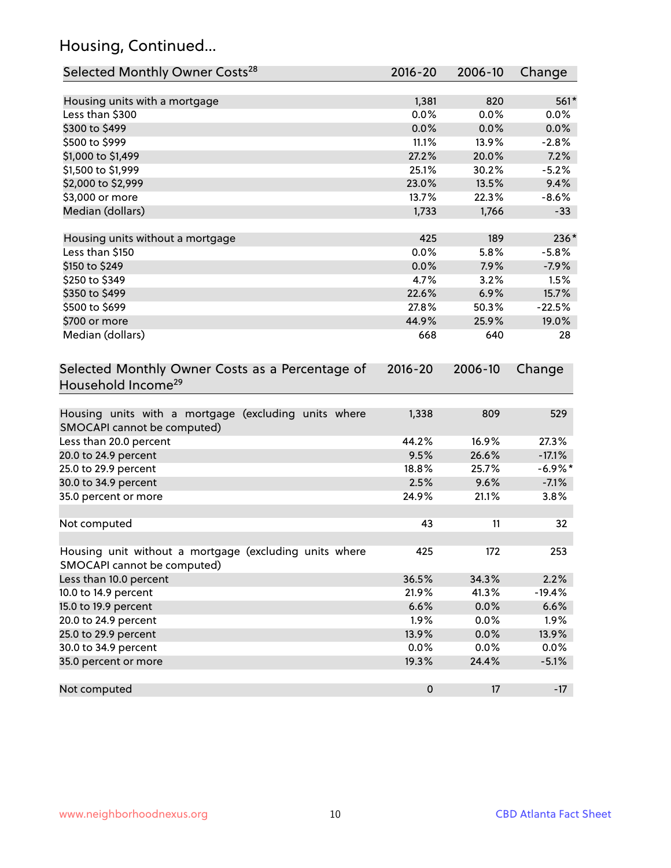## Housing, Continued...

| Selected Monthly Owner Costs <sup>28</sup>                                            | 2016-20     | 2006-10 | Change    |
|---------------------------------------------------------------------------------------|-------------|---------|-----------|
| Housing units with a mortgage                                                         | 1,381       | 820     | $561*$    |
| Less than \$300                                                                       | 0.0%        | 0.0%    | 0.0%      |
| \$300 to \$499                                                                        | 0.0%        | 0.0%    | 0.0%      |
| \$500 to \$999                                                                        | 11.1%       | 13.9%   | $-2.8%$   |
| \$1,000 to \$1,499                                                                    | 27.2%       | 20.0%   | 7.2%      |
| \$1,500 to \$1,999                                                                    | 25.1%       | 30.2%   | $-5.2%$   |
| \$2,000 to \$2,999                                                                    | 23.0%       | 13.5%   | 9.4%      |
| \$3,000 or more                                                                       | 13.7%       | 22.3%   | $-8.6%$   |
| Median (dollars)                                                                      | 1,733       | 1,766   | $-33$     |
| Housing units without a mortgage                                                      | 425         | 189     | 236*      |
| Less than \$150                                                                       | 0.0%        | 5.8%    | $-5.8%$   |
| \$150 to \$249                                                                        | 0.0%        | 7.9%    | $-7.9%$   |
| \$250 to \$349                                                                        | 4.7%        | 3.2%    | 1.5%      |
| \$350 to \$499                                                                        | 22.6%       | 6.9%    | 15.7%     |
| \$500 to \$699                                                                        | 27.8%       | 50.3%   | $-22.5%$  |
| \$700 or more                                                                         | 44.9%       | 25.9%   | 19.0%     |
| Median (dollars)                                                                      | 668         | 640     | 28        |
| Selected Monthly Owner Costs as a Percentage of<br>Household Income <sup>29</sup>     | $2016 - 20$ | 2006-10 | Change    |
| Housing units with a mortgage (excluding units where<br>SMOCAPI cannot be computed)   | 1,338       | 809     | 529       |
| Less than 20.0 percent                                                                | 44.2%       | 16.9%   | 27.3%     |
| 20.0 to 24.9 percent                                                                  | 9.5%        | 26.6%   | $-17.1%$  |
| 25.0 to 29.9 percent                                                                  | 18.8%       | 25.7%   | $-6.9\%*$ |
| 30.0 to 34.9 percent                                                                  | 2.5%        | 9.6%    | $-7.1%$   |
| 35.0 percent or more                                                                  | 24.9%       | 21.1%   | 3.8%      |
| Not computed                                                                          | 43          | 11      | 32        |
| Housing unit without a mortgage (excluding units where<br>SMOCAPI cannot be computed) | 425         | 172     | 253       |
| Less than 10.0 percent                                                                | 36.5%       | 34.3%   | 2.2%      |
| 10.0 to 14.9 percent                                                                  | 21.9%       | 41.3%   | $-19.4%$  |
| 15.0 to 19.9 percent                                                                  | 6.6%        | 0.0%    | 6.6%      |
| 20.0 to 24.9 percent                                                                  | 1.9%        | 0.0%    | 1.9%      |
| 25.0 to 29.9 percent                                                                  | 13.9%       | 0.0%    | 13.9%     |
| 30.0 to 34.9 percent                                                                  | 0.0%        | 0.0%    | 0.0%      |
| 35.0 percent or more                                                                  | 19.3%       | 24.4%   | $-5.1%$   |
| Not computed                                                                          | $\pmb{0}$   | 17      | $-17$     |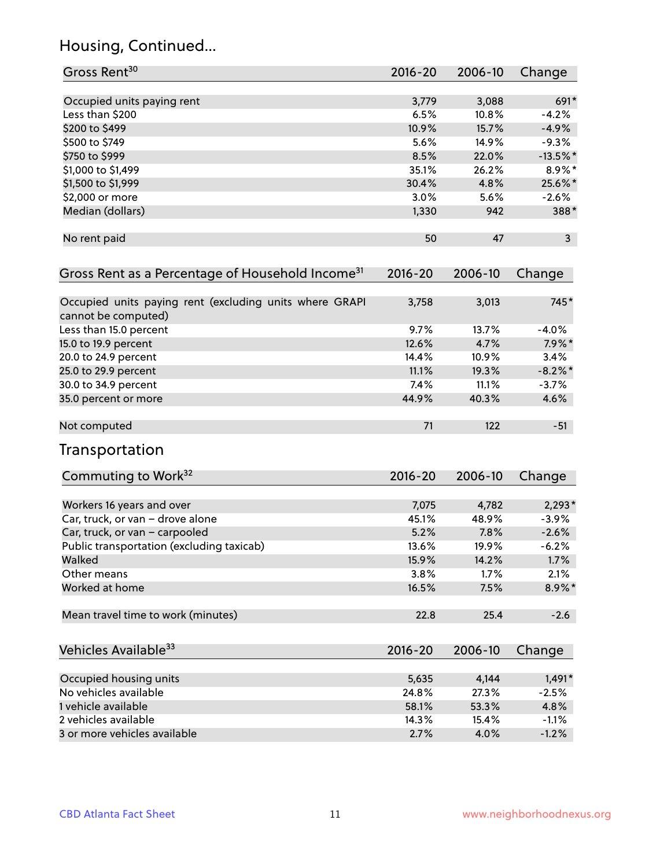## Housing, Continued...

| Gross Rent <sup>30</sup>                                                       | 2016-20     | 2006-10 | Change     |
|--------------------------------------------------------------------------------|-------------|---------|------------|
| Occupied units paying rent                                                     | 3,779       | 3,088   | $691*$     |
| Less than \$200                                                                | 6.5%        | 10.8%   | $-4.2%$    |
| \$200 to \$499                                                                 | 10.9%       | 15.7%   | $-4.9%$    |
| \$500 to \$749                                                                 | 5.6%        | 14.9%   | $-9.3%$    |
| \$750 to \$999                                                                 | 8.5%        | 22.0%   | $-13.5%$ * |
| \$1,000 to \$1,499                                                             | 35.1%       | 26.2%   | $8.9\%$ *  |
| \$1,500 to \$1,999                                                             | 30.4%       | 4.8%    | 25.6%*     |
| \$2,000 or more                                                                | 3.0%        | 5.6%    | $-2.6%$    |
| Median (dollars)                                                               | 1,330       | 942     | 388*       |
| No rent paid                                                                   | 50          | 47      | 3          |
| Gross Rent as a Percentage of Household Income <sup>31</sup>                   | $2016 - 20$ | 2006-10 | Change     |
| Occupied units paying rent (excluding units where GRAPI<br>cannot be computed) | 3,758       | 3,013   | 745*       |
| Less than 15.0 percent                                                         | 9.7%        | 13.7%   | $-4.0%$    |
| 15.0 to 19.9 percent                                                           | 12.6%       | 4.7%    | $7.9\%$ *  |
| 20.0 to 24.9 percent                                                           | 14.4%       | 10.9%   | 3.4%       |
| 25.0 to 29.9 percent                                                           | 11.1%       | 19.3%   | $-8.2\%$ * |
| 30.0 to 34.9 percent                                                           | 7.4%        | 11.1%   | $-3.7%$    |
| 35.0 percent or more                                                           | 44.9%       | 40.3%   | 4.6%       |
| Not computed                                                                   | 71          | 122     | $-51$      |
| Transportation                                                                 |             |         |            |
| Commuting to Work <sup>32</sup>                                                | $2016 - 20$ | 2006-10 | Change     |
| Workers 16 years and over                                                      | 7,075       | 4,782   | $2,293*$   |
| Car, truck, or van - drove alone                                               | 45.1%       | 48.9%   | $-3.9%$    |
| Car, truck, or van - carpooled                                                 | 5.2%        | 7.8%    | $-2.6%$    |
| Public transportation (excluding taxicab)                                      | 13.6%       | 19.9%   | $-6.2%$    |
| Walked                                                                         | 15.9%       | 14.2%   | 1.7%       |
| Other means                                                                    | 3.8%        | 1.7%    | 2.1%       |
| Worked at home                                                                 | 16.5%       | 7.5%    | 8.9%*      |
| Mean travel time to work (minutes)                                             | 22.8        | 25.4    | $-2.6$     |
| Vehicles Available <sup>33</sup>                                               | $2016 - 20$ | 2006-10 | Change     |
| Occupied housing units                                                         | 5,635       | 4,144   | $1,491*$   |
| No vehicles available                                                          | 24.8%       | 27.3%   | $-2.5%$    |
| 1 vehicle available                                                            | 58.1%       | 53.3%   | 4.8%       |
| 2 vehicles available                                                           | 14.3%       | 15.4%   | $-1.1%$    |
| 3 or more vehicles available                                                   | 2.7%        | 4.0%    | $-1.2%$    |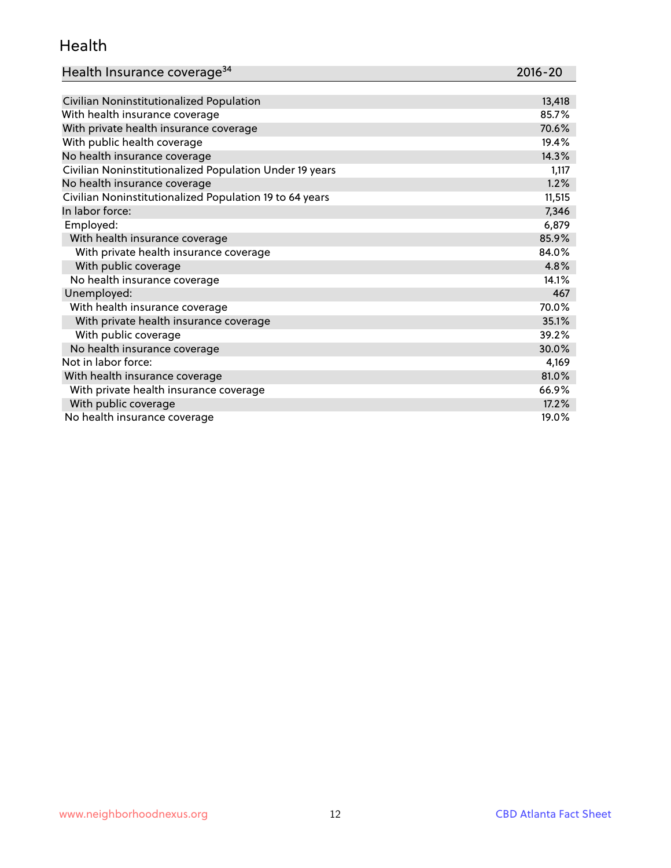#### Health

| Health Insurance coverage <sup>34</sup> | 2016-20 |
|-----------------------------------------|---------|
|-----------------------------------------|---------|

| Civilian Noninstitutionalized Population                | 13,418 |
|---------------------------------------------------------|--------|
| With health insurance coverage                          | 85.7%  |
| With private health insurance coverage                  | 70.6%  |
| With public health coverage                             | 19.4%  |
| No health insurance coverage                            | 14.3%  |
| Civilian Noninstitutionalized Population Under 19 years | 1,117  |
| No health insurance coverage                            | 1.2%   |
| Civilian Noninstitutionalized Population 19 to 64 years | 11,515 |
| In labor force:                                         | 7,346  |
| Employed:                                               | 6,879  |
| With health insurance coverage                          | 85.9%  |
| With private health insurance coverage                  | 84.0%  |
| With public coverage                                    | 4.8%   |
| No health insurance coverage                            | 14.1%  |
| Unemployed:                                             | 467    |
| With health insurance coverage                          | 70.0%  |
| With private health insurance coverage                  | 35.1%  |
| With public coverage                                    | 39.2%  |
| No health insurance coverage                            | 30.0%  |
| Not in labor force:                                     | 4,169  |
| With health insurance coverage                          | 81.0%  |
| With private health insurance coverage                  | 66.9%  |
| With public coverage                                    | 17.2%  |
| No health insurance coverage                            | 19.0%  |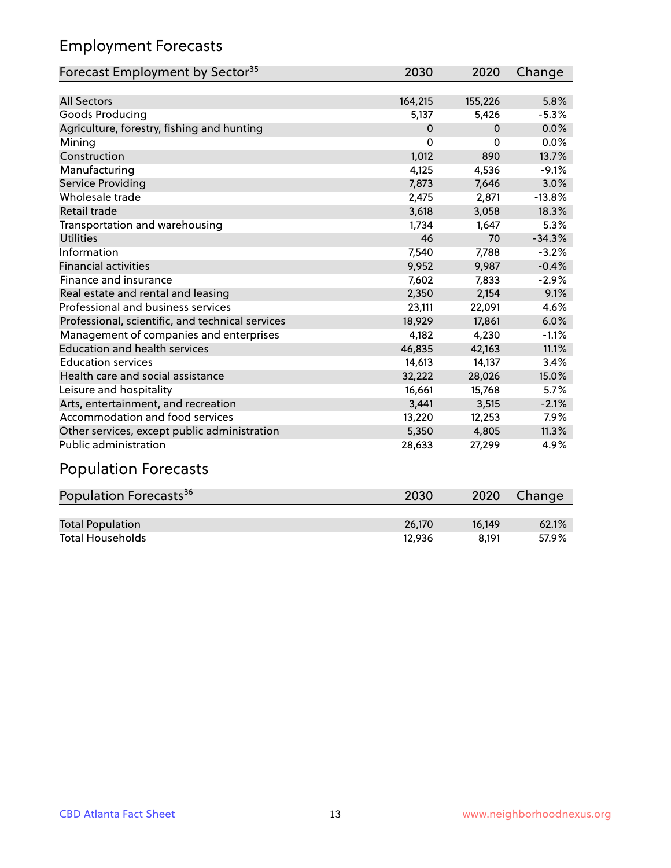## Employment Forecasts

| Forecast Employment by Sector <sup>35</sup>      | 2030     | 2020     | Change   |
|--------------------------------------------------|----------|----------|----------|
|                                                  |          |          |          |
| <b>All Sectors</b>                               | 164,215  | 155,226  | 5.8%     |
| Goods Producing                                  | 5,137    | 5,426    | $-5.3%$  |
| Agriculture, forestry, fishing and hunting       | $\Omega$ | $\Omega$ | 0.0%     |
| Mining                                           | 0        | 0        | 0.0%     |
| Construction                                     | 1,012    | 890      | 13.7%    |
| Manufacturing                                    | 4,125    | 4,536    | $-9.1%$  |
| Service Providing                                | 7,873    | 7,646    | 3.0%     |
| Wholesale trade                                  | 2,475    | 2,871    | $-13.8%$ |
| <b>Retail trade</b>                              | 3,618    | 3,058    | 18.3%    |
| Transportation and warehousing                   | 1,734    | 1,647    | 5.3%     |
| Utilities                                        | 46       | 70       | $-34.3%$ |
| Information                                      | 7,540    | 7,788    | $-3.2%$  |
| <b>Financial activities</b>                      | 9,952    | 9,987    | $-0.4%$  |
| Finance and insurance                            | 7,602    | 7,833    | $-2.9%$  |
| Real estate and rental and leasing               | 2,350    | 2,154    | 9.1%     |
| Professional and business services               | 23,111   | 22,091   | 4.6%     |
| Professional, scientific, and technical services | 18,929   | 17,861   | 6.0%     |
| Management of companies and enterprises          | 4,182    | 4,230    | $-1.1%$  |
| <b>Education and health services</b>             | 46,835   | 42,163   | 11.1%    |
| <b>Education services</b>                        | 14,613   | 14,137   | 3.4%     |
| Health care and social assistance                | 32,222   | 28,026   | 15.0%    |
| Leisure and hospitality                          | 16,661   | 15,768   | 5.7%     |
| Arts, entertainment, and recreation              | 3,441    | 3,515    | $-2.1%$  |
| Accommodation and food services                  | 13,220   | 12,253   | 7.9%     |
| Other services, except public administration     | 5,350    | 4,805    | 11.3%    |
| <b>Public administration</b>                     | 28,633   | 27,299   | 4.9%     |

# Population Forecasts

| Population Forecasts <sup>36</sup> | 2030   | 2020   | Change |
|------------------------------------|--------|--------|--------|
|                                    |        |        |        |
| <b>Total Population</b>            | 26.170 | 16.149 | 62.1%  |
| <b>Total Households</b>            | 12.936 | 8.191  | 57.9%  |